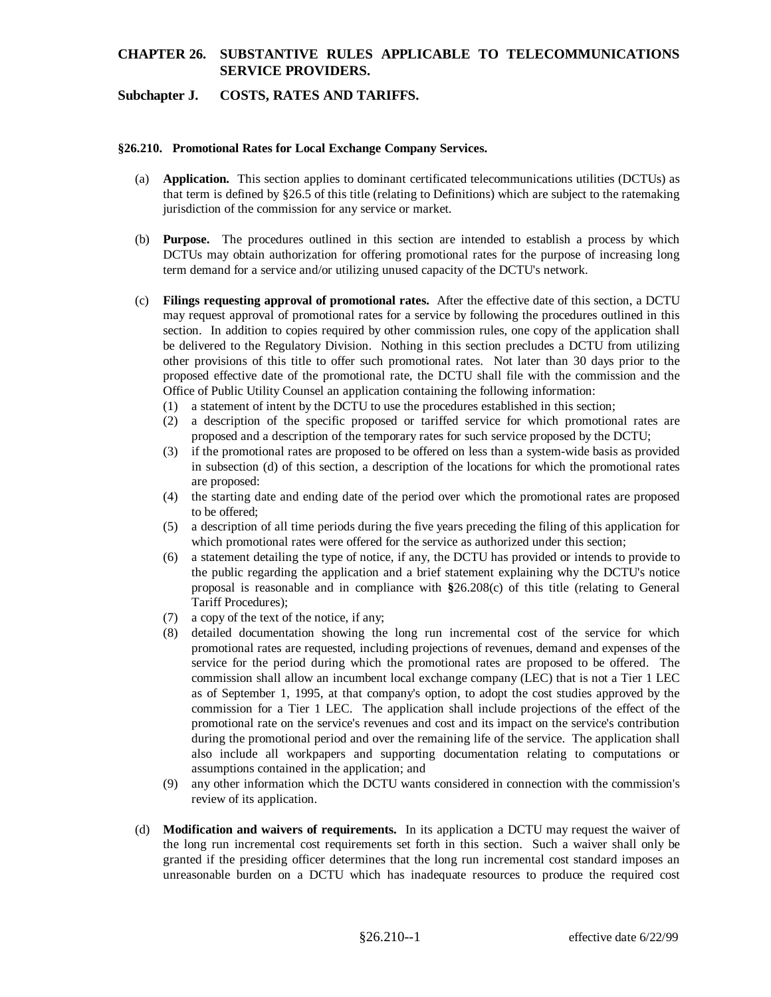### **Subchapter J. COSTS, RATES AND TARIFFS.**

#### **§26.210. Promotional Rates for Local Exchange Company Services.**

- (a) **Application.** This section applies to dominant certificated telecommunications utilities (DCTUs) as that term is defined by §26.5 of this title (relating to Definitions) which are subject to the ratemaking jurisdiction of the commission for any service or market.
- (b) **Purpose.** The procedures outlined in this section are intended to establish a process by which DCTUs may obtain authorization for offering promotional rates for the purpose of increasing long term demand for a service and/or utilizing unused capacity of the DCTU's network.
- (c) **Filings requesting approval of promotional rates.** After the effective date of this section, a DCTU may request approval of promotional rates for a service by following the procedures outlined in this section. In addition to copies required by other commission rules, one copy of the application shall be delivered to the Regulatory Division. Nothing in this section precludes a DCTU from utilizing other provisions of this title to offer such promotional rates. Not later than 30 days prior to the proposed effective date of the promotional rate, the DCTU shall file with the commission and the Office of Public Utility Counsel an application containing the following information:
	- (1) a statement of intent by the DCTU to use the procedures established in this section;
	- (2) a description of the specific proposed or tariffed service for which promotional rates are proposed and a description of the temporary rates for such service proposed by the DCTU;
	- (3) if the promotional rates are proposed to be offered on less than a system-wide basis as provided in subsection (d) of this section, a description of the locations for which the promotional rates are proposed:
	- (4) the starting date and ending date of the period over which the promotional rates are proposed to be offered;
	- (5) a description of all time periods during the five years preceding the filing of this application for which promotional rates were offered for the service as authorized under this section;
	- (6) a statement detailing the type of notice, if any, the DCTU has provided or intends to provide to the public regarding the application and a brief statement explaining why the DCTU's notice proposal is reasonable and in compliance with **§**26.208(c) of this title (relating to General Tariff Procedures);
	- (7) a copy of the text of the notice, if any;
	- (8) detailed documentation showing the long run incremental cost of the service for which promotional rates are requested, including projections of revenues, demand and expenses of the service for the period during which the promotional rates are proposed to be offered. The commission shall allow an incumbent local exchange company (LEC) that is not a Tier 1 LEC as of September 1, 1995, at that company's option, to adopt the cost studies approved by the commission for a Tier 1 LEC. The application shall include projections of the effect of the promotional rate on the service's revenues and cost and its impact on the service's contribution during the promotional period and over the remaining life of the service. The application shall also include all workpapers and supporting documentation relating to computations or assumptions contained in the application; and
	- (9) any other information which the DCTU wants considered in connection with the commission's review of its application.
- (d) **Modification and waivers of requirements.** In its application a DCTU may request the waiver of the long run incremental cost requirements set forth in this section. Such a waiver shall only be granted if the presiding officer determines that the long run incremental cost standard imposes an unreasonable burden on a DCTU which has inadequate resources to produce the required cost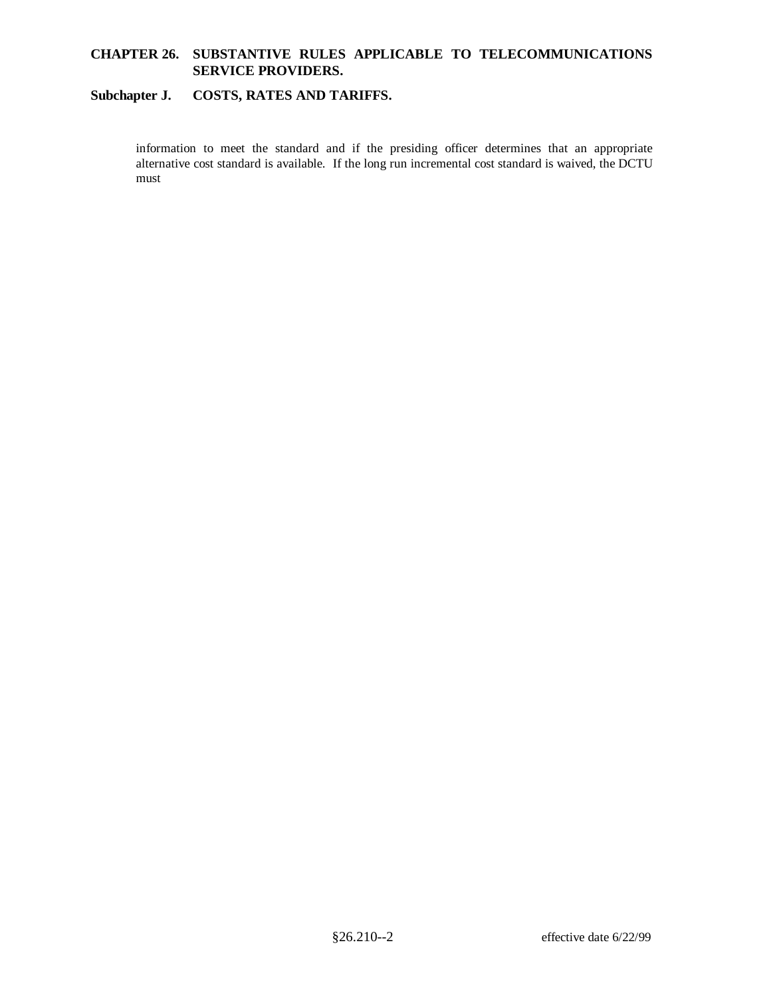### **Subchapter J. COSTS, RATES AND TARIFFS.**

information to meet the standard and if the presiding officer determines that an appropriate alternative cost standard is available. If the long run incremental cost standard is waived, the DCTU must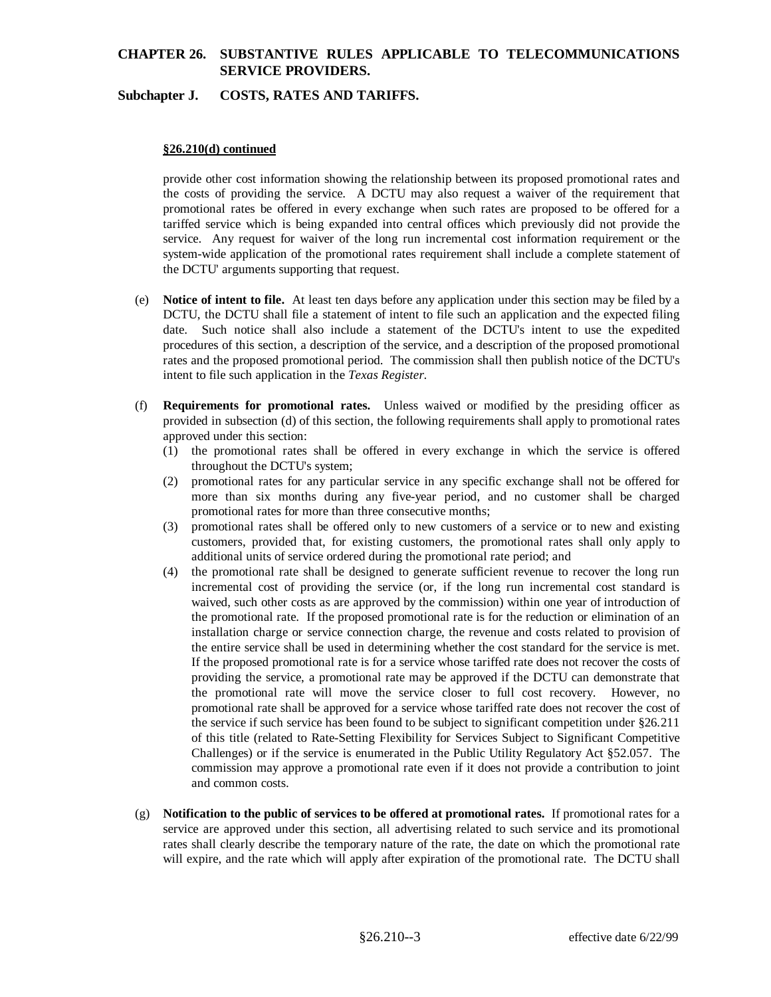### **Subchapter J. COSTS, RATES AND TARIFFS.**

### **§26.210(d) continued**

provide other cost information showing the relationship between its proposed promotional rates and the costs of providing the service. A DCTU may also request a waiver of the requirement that promotional rates be offered in every exchange when such rates are proposed to be offered for a tariffed service which is being expanded into central offices which previously did not provide the service. Any request for waiver of the long run incremental cost information requirement or the system-wide application of the promotional rates requirement shall include a complete statement of the DCTU' arguments supporting that request.

- (e) **Notice of intent to file.** At least ten days before any application under this section may be filed by a DCTU, the DCTU shall file a statement of intent to file such an application and the expected filing date. Such notice shall also include a statement of the DCTU's intent to use the expedited procedures of this section, a description of the service, and a description of the proposed promotional rates and the proposed promotional period. The commission shall then publish notice of the DCTU's intent to file such application in the *Texas Register*.
- (f) **Requirements for promotional rates.** Unless waived or modified by the presiding officer as provided in subsection (d) of this section, the following requirements shall apply to promotional rates approved under this section:
	- (1) the promotional rates shall be offered in every exchange in which the service is offered throughout the DCTU's system;
	- (2) promotional rates for any particular service in any specific exchange shall not be offered for more than six months during any five-year period, and no customer shall be charged promotional rates for more than three consecutive months;
	- (3) promotional rates shall be offered only to new customers of a service or to new and existing customers, provided that, for existing customers, the promotional rates shall only apply to additional units of service ordered during the promotional rate period; and
	- (4) the promotional rate shall be designed to generate sufficient revenue to recover the long run incremental cost of providing the service (or, if the long run incremental cost standard is waived, such other costs as are approved by the commission) within one year of introduction of the promotional rate. If the proposed promotional rate is for the reduction or elimination of an installation charge or service connection charge, the revenue and costs related to provision of the entire service shall be used in determining whether the cost standard for the service is met. If the proposed promotional rate is for a service whose tariffed rate does not recover the costs of providing the service, a promotional rate may be approved if the DCTU can demonstrate that the promotional rate will move the service closer to full cost recovery. However, no promotional rate shall be approved for a service whose tariffed rate does not recover the cost of the service if such service has been found to be subject to significant competition under §26.211 of this title (related to Rate-Setting Flexibility for Services Subject to Significant Competitive Challenges) or if the service is enumerated in the Public Utility Regulatory Act §52.057. The commission may approve a promotional rate even if it does not provide a contribution to joint and common costs.
- (g) **Notification to the public of services to be offered at promotional rates.** If promotional rates for a service are approved under this section, all advertising related to such service and its promotional rates shall clearly describe the temporary nature of the rate, the date on which the promotional rate will expire, and the rate which will apply after expiration of the promotional rate. The DCTU shall